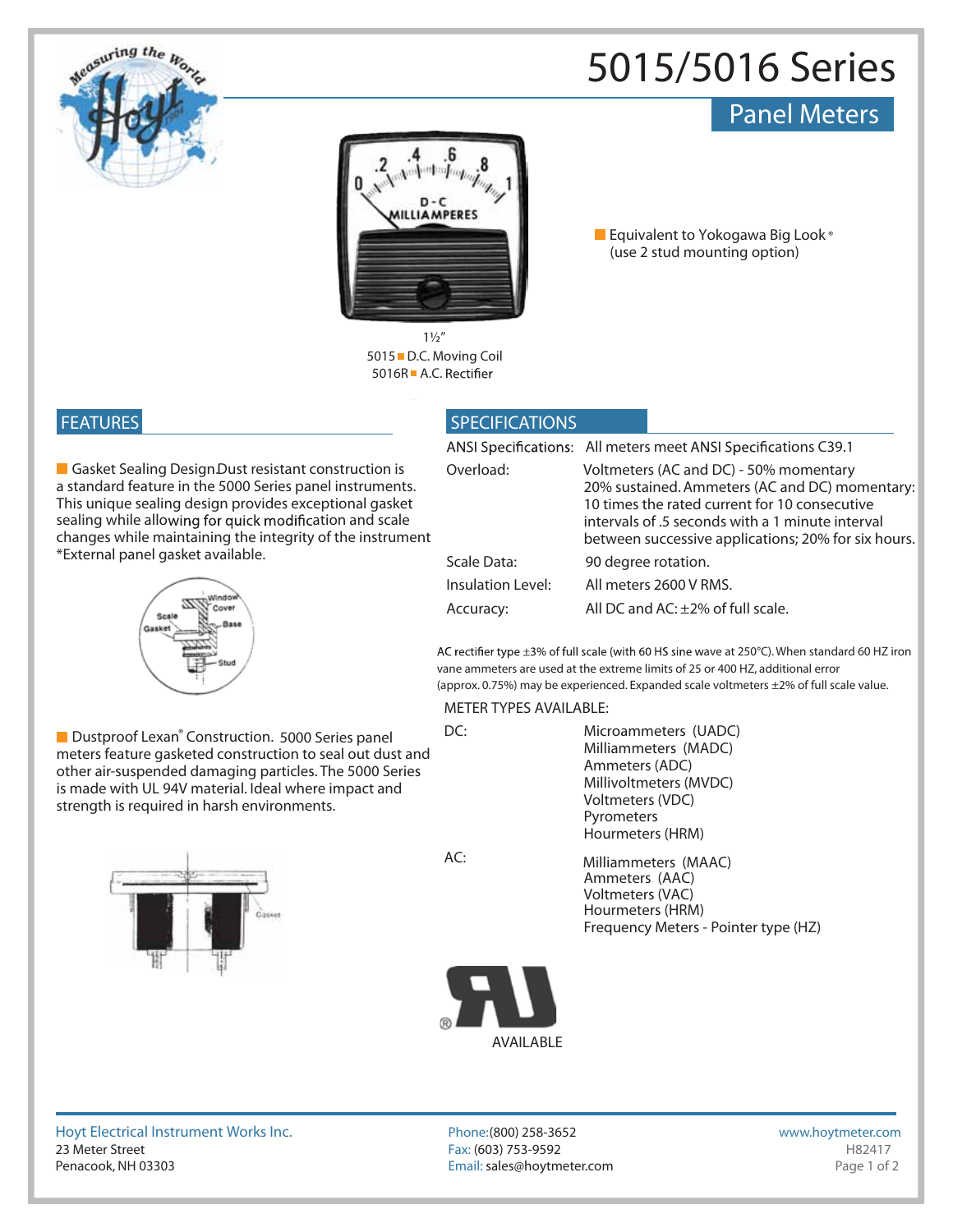

# **5015/5016 Series**

## Panel Meters



**Equivalent to Yokogawa Big Look ® (use 2 stud mounting option)**

**5015 D.C. Moving Coil 5016R ■ A.C. Rectifier 1½"**

### **FEATURES**

**Gasket Sealing Design. Dust resistant construction is** a standard feature in the 5000 Series panel instruments. This unique sealing design provides exceptional gasket sealing while allowing for quick modification and scale changes while maintaining the integrity of the instrument \*External panel gasket available.



■ Dustproof Lexan<sup>®</sup> Construction. 5000 Series panel meters feature gasketed construction to seal out dust and other air-suspended damaging particles. The 5000 Series is made with UL 94V material. Ideal where impact and strength is required in harsh environments.



**AC:**

#### **SPECIFICATIONS**

|                   | ANSI Specifications: All meters meet ANSI Specifications C39.1                                                                                                                                                                                       |
|-------------------|------------------------------------------------------------------------------------------------------------------------------------------------------------------------------------------------------------------------------------------------------|
| Overload:         | Voltmeters (AC and DC) - 50% momentary<br>20% sustained. Ammeters (AC and DC) momentary:<br>10 times the rated current for 10 consecutive<br>intervals of .5 seconds with a 1 minute interval<br>between successive applications; 20% for six hours. |
| Scale Data:       | 90 degree rotation.                                                                                                                                                                                                                                  |
| Insulation Level: | All meters 2600 V RMS.                                                                                                                                                                                                                               |
| Accuracy:         | All DC and AC: ±2% of full scale.                                                                                                                                                                                                                    |

AC rectifier type ±3% of full scale (with 60 HS sine wave at 250°C). When standard 60 HZ iron vane ammeters are used at the extreme limits of 25 or 400 HZ, additional error (approx. 0.75%) may be experienced. Expanded scale voltmeters ±2% of full scale value.

#### **METER TYPES AVAILABLE:**

**DC:** Microammeters (UADC) Milliammeters (MADC) Ammeters (ADC) Millivoltmeters (MVDC) Voltmeters (VDC) Pyrometers Hourmeters (HRM)

> Frequency Meters - Pointer type (HZ) Voltmeters (VAC) Ammeters (AAC) Hourmeters (HRM) Milliammeters (MAAC)